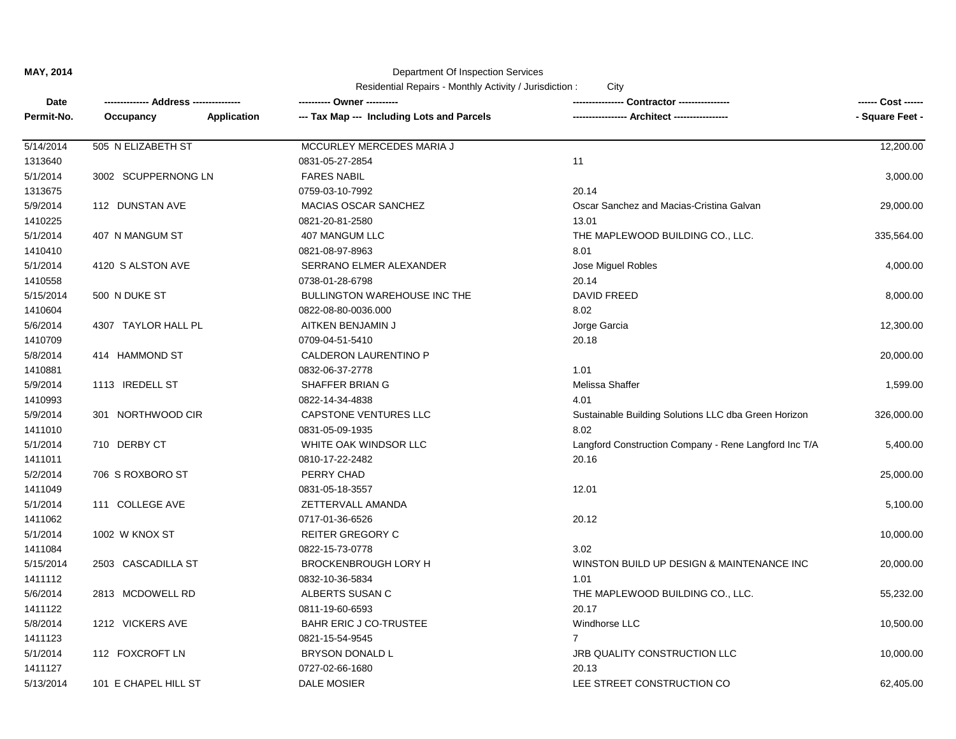| Date       |                      |             |                                            |                                                       | ------ Cost ------ |
|------------|----------------------|-------------|--------------------------------------------|-------------------------------------------------------|--------------------|
| Permit-No. | Occupancy            | Application | --- Tax Map --- Including Lots and Parcels |                                                       | - Square Feet -    |
| 5/14/2014  | 505 N ELIZABETH ST   |             | MCCURLEY MERCEDES MARIA J                  |                                                       | 12,200.00          |
| 1313640    |                      |             | 0831-05-27-2854                            | 11                                                    |                    |
| 5/1/2014   | 3002 SCUPPERNONG LN  |             | <b>FARES NABIL</b>                         |                                                       | 3,000.00           |
| 1313675    |                      |             | 0759-03-10-7992                            | 20.14                                                 |                    |
| 5/9/2014   | 112 DUNSTAN AVE      |             | MACIAS OSCAR SANCHEZ                       | Oscar Sanchez and Macias-Cristina Galvan              | 29,000.00          |
| 1410225    |                      |             | 0821-20-81-2580                            | 13.01                                                 |                    |
| 5/1/2014   | 407 N MANGUM ST      |             | 407 MANGUM LLC                             | THE MAPLEWOOD BUILDING CO., LLC.                      | 335,564.00         |
| 1410410    |                      |             | 0821-08-97-8963                            | 8.01                                                  |                    |
| 5/1/2014   | 4120 S ALSTON AVE    |             | SERRANO ELMER ALEXANDER                    | Jose Miguel Robles                                    | 4,000.00           |
| 1410558    |                      |             | 0738-01-28-6798                            | 20.14                                                 |                    |
| 5/15/2014  | 500 N DUKE ST        |             | BULLINGTON WAREHOUSE INC THE               | <b>DAVID FREED</b>                                    | 8,000.00           |
| 1410604    |                      |             | 0822-08-80-0036.000                        | 8.02                                                  |                    |
| 5/6/2014   | 4307 TAYLOR HALL PL  |             | AITKEN BENJAMIN J                          | Jorge Garcia                                          | 12,300.00          |
| 1410709    |                      |             | 0709-04-51-5410                            | 20.18                                                 |                    |
| 5/8/2014   | 414 HAMMOND ST       |             | CALDERON LAURENTINO P                      |                                                       | 20,000.00          |
| 1410881    |                      |             | 0832-06-37-2778                            | 1.01                                                  |                    |
| 5/9/2014   | 1113 IREDELL ST      |             | SHAFFER BRIAN G                            | Melissa Shaffer                                       | 1,599.00           |
| 1410993    |                      |             | 0822-14-34-4838                            | 4.01                                                  |                    |
| 5/9/2014   | 301 NORTHWOOD CIR    |             | <b>CAPSTONE VENTURES LLC</b>               | Sustainable Building Solutions LLC dba Green Horizon  | 326,000.00         |
| 1411010    |                      |             | 0831-05-09-1935                            | 8.02                                                  |                    |
| 5/1/2014   | 710 DERBY CT         |             | WHITE OAK WINDSOR LLC                      | Langford Construction Company - Rene Langford Inc T/A | 5,400.00           |
| 1411011    |                      |             | 0810-17-22-2482                            | 20.16                                                 |                    |
| 5/2/2014   | 706 S ROXBORO ST     |             | PERRY CHAD                                 |                                                       | 25,000.00          |
| 1411049    |                      |             | 0831-05-18-3557                            | 12.01                                                 |                    |
| 5/1/2014   | 111 COLLEGE AVE      |             | ZETTERVALL AMANDA                          |                                                       | 5,100.00           |
| 1411062    |                      |             | 0717-01-36-6526                            | 20.12                                                 |                    |
| 5/1/2014   | 1002 W KNOX ST       |             | <b>REITER GREGORY C</b>                    |                                                       | 10,000.00          |
| 1411084    |                      |             | 0822-15-73-0778                            | 3.02                                                  |                    |
| 5/15/2014  | 2503 CASCADILLA ST   |             | <b>BROCKENBROUGH LORY H</b>                | WINSTON BUILD UP DESIGN & MAINTENANCE INC             | 20,000.00          |
| 1411112    |                      |             | 0832-10-36-5834                            | 1.01                                                  |                    |
| 5/6/2014   | 2813 MCDOWELL RD     |             | ALBERTS SUSAN C                            | THE MAPLEWOOD BUILDING CO., LLC.                      | 55,232.00          |
| 1411122    |                      |             | 0811-19-60-6593                            | 20.17                                                 |                    |
| 5/8/2014   | 1212 VICKERS AVE     |             | BAHR ERIC J CO-TRUSTEE                     | Windhorse LLC                                         | 10,500.00          |
| 1411123    |                      |             | 0821-15-54-9545                            | $\overline{7}$                                        |                    |
| 5/1/2014   | 112 FOXCROFT LN      |             | <b>BRYSON DONALD L</b>                     | JRB QUALITY CONSTRUCTION LLC                          | 10,000.00          |
| 1411127    |                      |             | 0727-02-66-1680                            | 20.13                                                 |                    |
| 5/13/2014  | 101 E CHAPEL HILL ST |             | DALE MOSIER                                | LEE STREET CONSTRUCTION CO                            | 62,405.00          |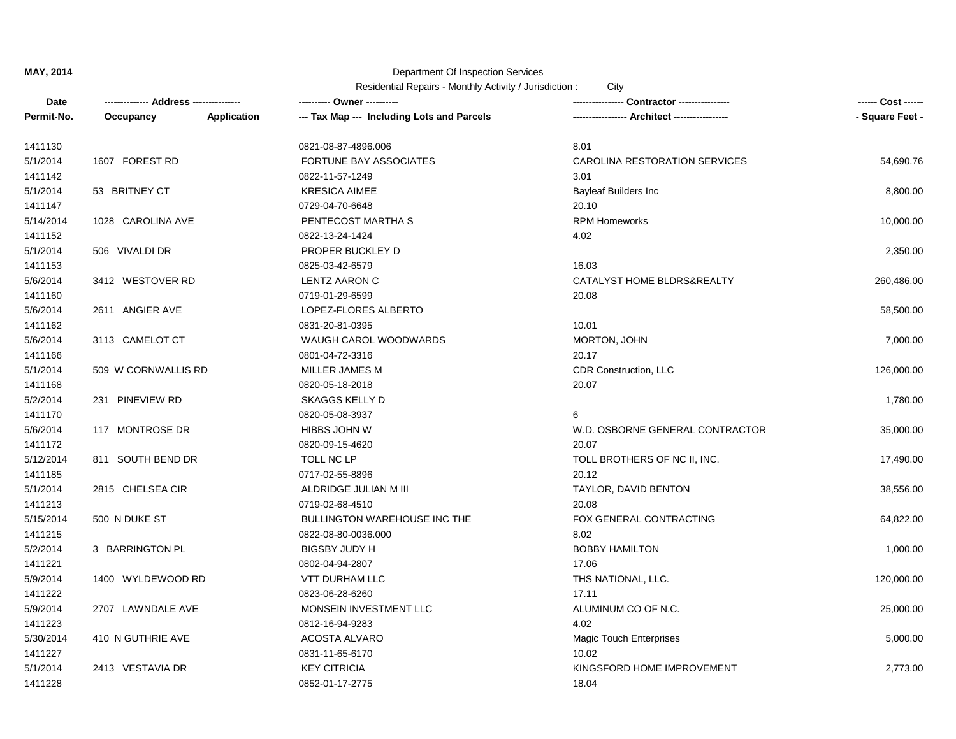| Date       | ------------- Address -------------- |             | ---------- Owner ----------                | Contractor ----------------     | ------ Cost ------ |
|------------|--------------------------------------|-------------|--------------------------------------------|---------------------------------|--------------------|
| Permit-No. | Occupancy                            | Application | --- Tax Map --- Including Lots and Parcels | -- Architect -----------------  | - Square Feet -    |
| 1411130    |                                      |             | 0821-08-87-4896.006                        | 8.01                            |                    |
| 5/1/2014   | 1607 FOREST RD                       |             | <b>FORTUNE BAY ASSOCIATES</b>              | CAROLINA RESTORATION SERVICES   | 54,690.76          |
| 1411142    |                                      |             | 0822-11-57-1249                            | 3.01                            |                    |
| 5/1/2014   | 53 BRITNEY CT                        |             | <b>KRESICA AIMEE</b>                       | <b>Bayleaf Builders Inc</b>     | 8,800.00           |
| 1411147    |                                      |             | 0729-04-70-6648                            | 20.10                           |                    |
| 5/14/2014  | 1028 CAROLINA AVE                    |             | PENTECOST MARTHA S                         | <b>RPM Homeworks</b>            | 10,000.00          |
| 1411152    |                                      |             | 0822-13-24-1424                            | 4.02                            |                    |
| 5/1/2014   | 506 VIVALDI DR                       |             | PROPER BUCKLEY D                           |                                 | 2,350.00           |
| 1411153    |                                      |             | 0825-03-42-6579                            | 16.03                           |                    |
| 5/6/2014   | 3412 WESTOVER RD                     |             | LENTZ AARON C                              | CATALYST HOME BLDRS&REALTY      | 260,486.00         |
| 1411160    |                                      |             | 0719-01-29-6599                            | 20.08                           |                    |
| 5/6/2014   | 2611 ANGIER AVE                      |             | LOPEZ-FLORES ALBERTO                       |                                 | 58,500.00          |
| 1411162    |                                      |             | 0831-20-81-0395                            | 10.01                           |                    |
| 5/6/2014   | 3113 CAMELOT CT                      |             | WAUGH CAROL WOODWARDS                      | MORTON, JOHN                    | 7,000.00           |
| 1411166    |                                      |             | 0801-04-72-3316                            | 20.17                           |                    |
| 5/1/2014   | 509 W CORNWALLIS RD                  |             | MILLER JAMES M                             | CDR Construction, LLC           | 126,000.00         |
| 1411168    |                                      |             | 0820-05-18-2018                            | 20.07                           |                    |
| 5/2/2014   | 231 PINEVIEW RD                      |             | <b>SKAGGS KELLY D</b>                      |                                 | 1,780.00           |
| 1411170    |                                      |             | 0820-05-08-3937                            | 6                               |                    |
| 5/6/2014   | 117 MONTROSE DR                      |             | HIBBS JOHN W                               | W.D. OSBORNE GENERAL CONTRACTOR | 35,000.00          |
| 1411172    |                                      |             | 0820-09-15-4620                            | 20.07                           |                    |
| 5/12/2014  | 811 SOUTH BEND DR                    |             | TOLL NC LP                                 | TOLL BROTHERS OF NC II, INC.    | 17,490.00          |
| 1411185    |                                      |             | 0717-02-55-8896                            | 20.12                           |                    |
| 5/1/2014   | 2815 CHELSEA CIR                     |             | ALDRIDGE JULIAN M III                      | TAYLOR, DAVID BENTON            | 38,556.00          |
| 1411213    |                                      |             | 0719-02-68-4510                            | 20.08                           |                    |
| 5/15/2014  | 500 N DUKE ST                        |             | BULLINGTON WAREHOUSE INC THE               | FOX GENERAL CONTRACTING         | 64,822.00          |
| 1411215    |                                      |             | 0822-08-80-0036.000                        | 8.02                            |                    |
| 5/2/2014   | 3 BARRINGTON PL                      |             | <b>BIGSBY JUDY H</b>                       | <b>BOBBY HAMILTON</b>           | 1,000.00           |
| 1411221    |                                      |             | 0802-04-94-2807                            | 17.06                           |                    |
| 5/9/2014   | 1400 WYLDEWOOD RD                    |             | VTT DURHAM LLC                             | THS NATIONAL, LLC.              | 120,000.00         |
| 1411222    |                                      |             | 0823-06-28-6260                            | 17.11                           |                    |
| 5/9/2014   | 2707 LAWNDALE AVE                    |             | MONSEIN INVESTMENT LLC                     | ALUMINUM CO OF N.C.             | 25,000.00          |
| 1411223    |                                      |             | 0812-16-94-9283                            | 4.02                            |                    |
| 5/30/2014  | 410 N GUTHRIE AVE                    |             | <b>ACOSTA ALVARO</b>                       | <b>Magic Touch Enterprises</b>  | 5,000.00           |
| 1411227    |                                      |             | 0831-11-65-6170                            | 10.02                           |                    |
| 5/1/2014   | 2413 VESTAVIA DR                     |             | <b>KEY CITRICIA</b>                        | KINGSFORD HOME IMPROVEMENT      | 2,773.00           |
| 1411228    |                                      |             | 0852-01-17-2775                            | 18.04                           |                    |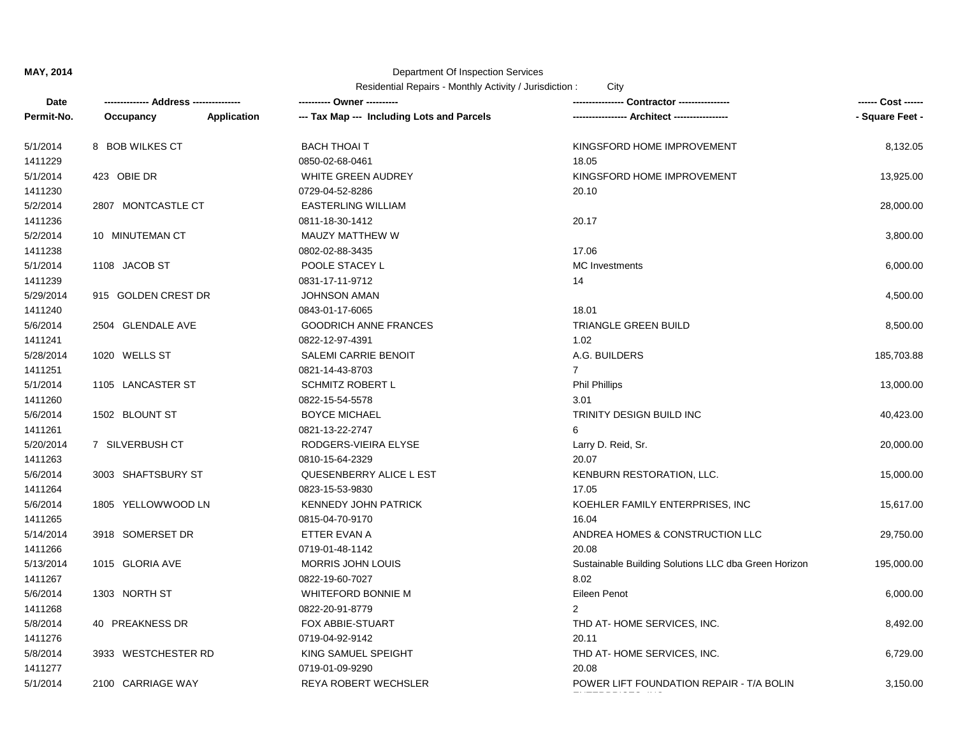| Date       |                     |                    | ---------- Owner ----------                |                                                      | ------ Cost ------ |
|------------|---------------------|--------------------|--------------------------------------------|------------------------------------------------------|--------------------|
| Permit-No. | Occupancy           | <b>Application</b> | --- Tax Map --- Including Lots and Parcels | --- Architect -----------------                      | - Square Feet -    |
| 5/1/2014   | 8 BOB WILKES CT     |                    | BACH THOAI T                               | KINGSFORD HOME IMPROVEMENT                           | 8,132.05           |
| 1411229    |                     |                    | 0850-02-68-0461                            | 18.05                                                |                    |
| 5/1/2014   | 423 OBIE DR         |                    | WHITE GREEN AUDREY                         | KINGSFORD HOME IMPROVEMENT                           | 13,925.00          |
| 1411230    |                     |                    | 0729-04-52-8286                            | 20.10                                                |                    |
| 5/2/2014   | 2807 MONTCASTLE CT  |                    | <b>EASTERLING WILLIAM</b>                  |                                                      | 28,000.00          |
| 1411236    |                     |                    | 0811-18-30-1412                            | 20.17                                                |                    |
| 5/2/2014   | 10 MINUTEMAN CT     |                    | MAUZY MATTHEW W                            |                                                      | 3,800.00           |
| 1411238    |                     |                    | 0802-02-88-3435                            | 17.06                                                |                    |
| 5/1/2014   | 1108 JACOB ST       |                    | POOLE STACEY L                             | <b>MC</b> Investments                                | 6,000.00           |
| 1411239    |                     |                    | 0831-17-11-9712                            | 14                                                   |                    |
| 5/29/2014  | 915 GOLDEN CREST DR |                    | <b>JOHNSON AMAN</b>                        |                                                      | 4,500.00           |
| 1411240    |                     |                    | 0843-01-17-6065                            | 18.01                                                |                    |
| 5/6/2014   | 2504 GLENDALE AVE   |                    | <b>GOODRICH ANNE FRANCES</b>               | TRIANGLE GREEN BUILD                                 | 8,500.00           |
| 1411241    |                     |                    | 0822-12-97-4391                            | 1.02                                                 |                    |
| 5/28/2014  | 1020 WELLS ST       |                    | SALEMI CARRIE BENOIT                       | A.G. BUILDERS                                        | 185,703.88         |
| 1411251    |                     |                    | 0821-14-43-8703                            | $\overline{7}$                                       |                    |
| 5/1/2014   | 1105 LANCASTER ST   |                    | <b>SCHMITZ ROBERT L</b>                    | <b>Phil Phillips</b>                                 | 13,000.00          |
| 1411260    |                     |                    | 0822-15-54-5578                            | 3.01                                                 |                    |
| 5/6/2014   | 1502 BLOUNT ST      |                    | <b>BOYCE MICHAEL</b>                       | TRINITY DESIGN BUILD INC                             | 40,423.00          |
| 1411261    |                     |                    | 0821-13-22-2747                            | 6                                                    |                    |
| 5/20/2014  | 7 SILVERBUSH CT     |                    | RODGERS-VIEIRA ELYSE                       | Larry D. Reid, Sr.                                   | 20,000.00          |
| 1411263    |                     |                    | 0810-15-64-2329                            | 20.07                                                |                    |
| 5/6/2014   | 3003 SHAFTSBURY ST  |                    | QUESENBERRY ALICE L EST                    | KENBURN RESTORATION, LLC.                            | 15,000.00          |
| 1411264    |                     |                    | 0823-15-53-9830                            | 17.05                                                |                    |
| 5/6/2014   | 1805 YELLOWWOOD LN  |                    | <b>KENNEDY JOHN PATRICK</b>                | KOEHLER FAMILY ENTERPRISES, INC                      | 15,617.00          |
| 1411265    |                     |                    | 0815-04-70-9170                            | 16.04                                                |                    |
| 5/14/2014  | 3918 SOMERSET DR    |                    | ETTER EVAN A                               | ANDREA HOMES & CONSTRUCTION LLC                      | 29,750.00          |
| 1411266    |                     |                    | 0719-01-48-1142                            | 20.08                                                |                    |
| 5/13/2014  | 1015 GLORIA AVE     |                    | MORRIS JOHN LOUIS                          | Sustainable Building Solutions LLC dba Green Horizon | 195,000.00         |
| 1411267    |                     |                    | 0822-19-60-7027                            | 8.02                                                 |                    |
| 5/6/2014   | 1303 NORTH ST       |                    | <b>WHITEFORD BONNIE M</b>                  | Eileen Penot                                         | 6,000.00           |
| 1411268    |                     |                    | 0822-20-91-8779                            | $\overline{2}$                                       |                    |
| 5/8/2014   | 40 PREAKNESS DR     |                    | FOX ABBIE-STUART                           | THD AT-HOME SERVICES, INC.                           | 8,492.00           |
| 1411276    |                     |                    | 0719-04-92-9142                            | 20.11                                                |                    |
| 5/8/2014   | 3933 WESTCHESTER RD |                    | KING SAMUEL SPEIGHT                        | THD AT-HOME SERVICES, INC.                           | 6,729.00           |
| 1411277    |                     |                    | 0719-01-09-9290                            | 20.08                                                |                    |
| 5/1/2014   | 2100 CARRIAGE WAY   |                    | <b>REYA ROBERT WECHSLER</b>                | POWER LIFT FOUNDATION REPAIR - T/A BOLIN             | 3,150.00           |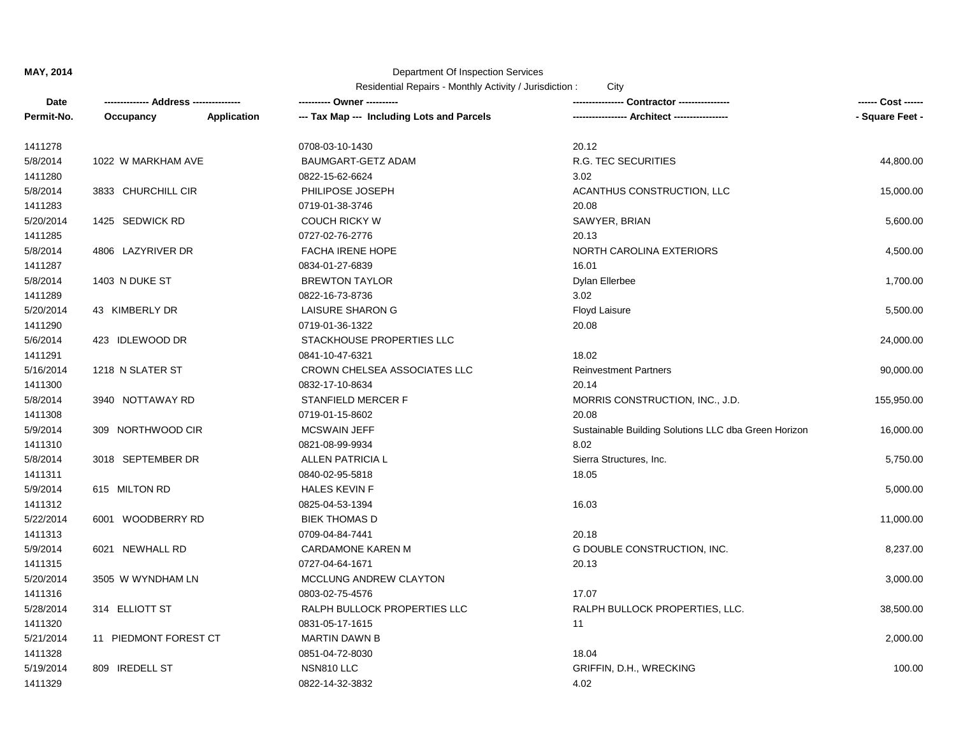| Date       | -------------- Address --------------- |             | ---------- Owner ----------                | -- Contractor ----------------                       | ------ Cost ------ |
|------------|----------------------------------------|-------------|--------------------------------------------|------------------------------------------------------|--------------------|
| Permit-No. | Occupancy                              | Application | --- Tax Map --- Including Lots and Parcels | ---------------- Architect -----------------         | - Square Feet -    |
| 1411278    |                                        |             | 0708-03-10-1430                            | 20.12                                                |                    |
| 5/8/2014   | 1022 W MARKHAM AVE                     |             | BAUMGART-GETZ ADAM                         | R.G. TEC SECURITIES                                  | 44,800.00          |
| 1411280    |                                        |             | 0822-15-62-6624                            | 3.02                                                 |                    |
| 5/8/2014   | 3833 CHURCHILL CIR                     |             | PHILIPOSE JOSEPH                           | ACANTHUS CONSTRUCTION, LLC                           | 15,000.00          |
| 1411283    |                                        |             | 0719-01-38-3746                            | 20.08                                                |                    |
| 5/20/2014  | 1425 SEDWICK RD                        |             | <b>COUCH RICKY W</b>                       | SAWYER, BRIAN                                        | 5,600.00           |
| 1411285    |                                        |             | 0727-02-76-2776                            | 20.13                                                |                    |
| 5/8/2014   | 4806 LAZYRIVER DR                      |             | FACHA IRENE HOPE                           | NORTH CAROLINA EXTERIORS                             | 4,500.00           |
| 1411287    |                                        |             | 0834-01-27-6839                            | 16.01                                                |                    |
| 5/8/2014   | 1403 N DUKE ST                         |             | <b>BREWTON TAYLOR</b>                      | Dylan Ellerbee                                       | 1,700.00           |
| 1411289    |                                        |             | 0822-16-73-8736                            | 3.02                                                 |                    |
| 5/20/2014  | 43 KIMBERLY DR                         |             | <b>LAISURE SHARON G</b>                    | Floyd Laisure                                        | 5,500.00           |
| 1411290    |                                        |             | 0719-01-36-1322                            | 20.08                                                |                    |
| 5/6/2014   | 423 IDLEWOOD DR                        |             | STACKHOUSE PROPERTIES LLC                  |                                                      | 24,000.00          |
| 1411291    |                                        |             | 0841-10-47-6321                            | 18.02                                                |                    |
| 5/16/2014  | 1218 N SLATER ST                       |             | CROWN CHELSEA ASSOCIATES LLC               | <b>Reinvestment Partners</b>                         | 90,000.00          |
| 1411300    |                                        |             | 0832-17-10-8634                            | 20.14                                                |                    |
| 5/8/2014   | 3940 NOTTAWAY RD                       |             | STANFIELD MERCER F                         | MORRIS CONSTRUCTION, INC., J.D.                      | 155,950.00         |
| 1411308    |                                        |             | 0719-01-15-8602                            | 20.08                                                |                    |
| 5/9/2014   | 309 NORTHWOOD CIR                      |             | <b>MCSWAIN JEFF</b>                        | Sustainable Building Solutions LLC dba Green Horizon | 16,000.00          |
| 1411310    |                                        |             | 0821-08-99-9934                            | 8.02                                                 |                    |
| 5/8/2014   | 3018 SEPTEMBER DR                      |             | ALLEN PATRICIA L                           | Sierra Structures, Inc.                              | 5,750.00           |
| 1411311    |                                        |             | 0840-02-95-5818                            | 18.05                                                |                    |
| 5/9/2014   | 615 MILTON RD                          |             | <b>HALES KEVIN F</b>                       |                                                      | 5,000.00           |
| 1411312    |                                        |             | 0825-04-53-1394                            | 16.03                                                |                    |
| 5/22/2014  | 6001 WOODBERRY RD                      |             | <b>BIEK THOMAS D</b>                       |                                                      | 11,000.00          |
| 1411313    |                                        |             | 0709-04-84-7441                            | 20.18                                                |                    |
| 5/9/2014   | 6021 NEWHALL RD                        |             | <b>CARDAMONE KAREN M</b>                   | G DOUBLE CONSTRUCTION, INC.                          | 8,237.00           |
| 1411315    |                                        |             | 0727-04-64-1671                            | 20.13                                                |                    |
| 5/20/2014  | 3505 W WYNDHAM LN                      |             | MCCLUNG ANDREW CLAYTON                     |                                                      | 3,000.00           |
| 1411316    |                                        |             | 0803-02-75-4576                            | 17.07                                                |                    |
| 5/28/2014  | 314 ELLIOTT ST                         |             | RALPH BULLOCK PROPERTIES LLC               | RALPH BULLOCK PROPERTIES, LLC.                       | 38,500.00          |
| 1411320    |                                        |             | 0831-05-17-1615                            | 11                                                   |                    |
| 5/21/2014  | 11 PIEDMONT FOREST CT                  |             | <b>MARTIN DAWN B</b>                       |                                                      | 2,000.00           |
| 1411328    |                                        |             | 0851-04-72-8030                            | 18.04                                                |                    |
| 5/19/2014  | 809 IREDELL ST                         |             | NSN810 LLC                                 | GRIFFIN, D.H., WRECKING                              | 100.00             |
| 1411329    |                                        |             | 0822-14-32-3832                            | 4.02                                                 |                    |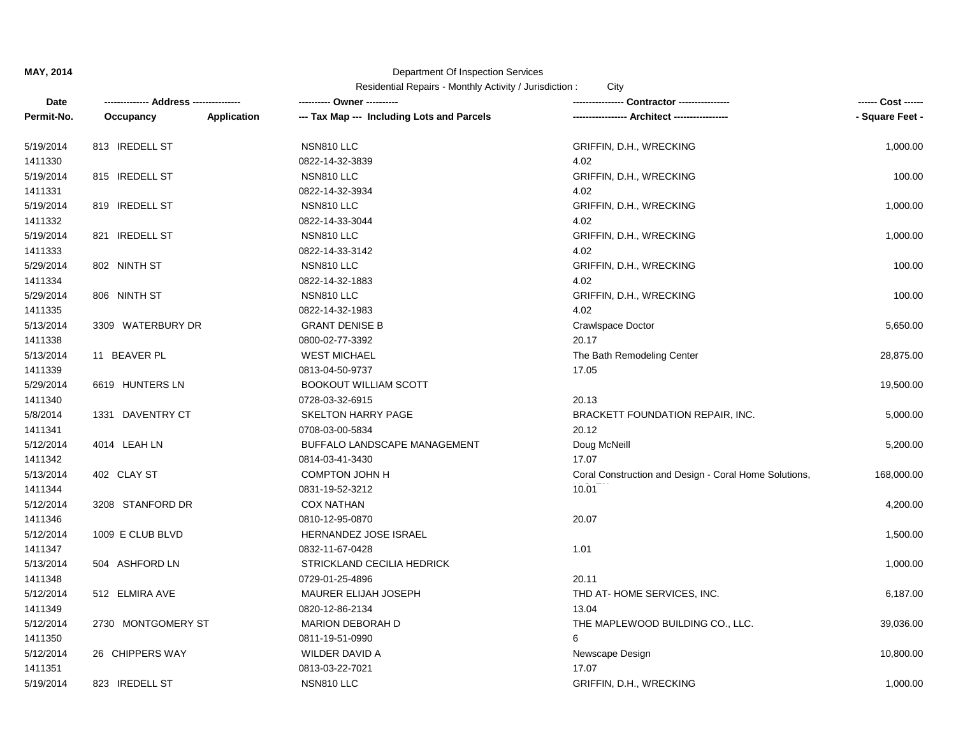| Date       | -------------- Address --------------- |                    | ---------- Owner ----------                |                                                       | ------ Cost ------ |
|------------|----------------------------------------|--------------------|--------------------------------------------|-------------------------------------------------------|--------------------|
| Permit-No. | Occupancy                              | <b>Application</b> | --- Tax Map --- Including Lots and Parcels |                                                       | - Square Feet -    |
| 5/19/2014  | 813 IREDELL ST                         |                    | NSN810 LLC                                 | GRIFFIN, D.H., WRECKING                               | 1,000.00           |
| 1411330    |                                        |                    | 0822-14-32-3839                            | 4.02                                                  |                    |
| 5/19/2014  | 815 IREDELL ST                         |                    | NSN810 LLC                                 | GRIFFIN, D.H., WRECKING                               | 100.00             |
| 1411331    |                                        |                    | 0822-14-32-3934                            | 4.02                                                  |                    |
| 5/19/2014  | 819 IREDELL ST                         |                    | NSN810 LLC                                 | GRIFFIN, D.H., WRECKING                               | 1,000.00           |
| 1411332    |                                        |                    | 0822-14-33-3044                            | 4.02                                                  |                    |
| 5/19/2014  | 821 IREDELL ST                         |                    | NSN810 LLC                                 | GRIFFIN, D.H., WRECKING                               | 1,000.00           |
| 1411333    |                                        |                    | 0822-14-33-3142                            | 4.02                                                  |                    |
| 5/29/2014  | 802 NINTH ST                           |                    | NSN810 LLC                                 | GRIFFIN, D.H., WRECKING                               | 100.00             |
| 1411334    |                                        |                    | 0822-14-32-1883                            | 4.02                                                  |                    |
| 5/29/2014  | 806 NINTH ST                           |                    | NSN810 LLC                                 | GRIFFIN, D.H., WRECKING                               | 100.00             |
| 1411335    |                                        |                    | 0822-14-32-1983                            | 4.02                                                  |                    |
| 5/13/2014  | 3309 WATERBURY DR                      |                    | <b>GRANT DENISE B</b>                      | Crawlspace Doctor                                     | 5,650.00           |
| 1411338    |                                        |                    | 0800-02-77-3392                            | 20.17                                                 |                    |
| 5/13/2014  | 11 BEAVER PL                           |                    | <b>WEST MICHAEL</b>                        | The Bath Remodeling Center                            | 28,875.00          |
| 1411339    |                                        |                    | 0813-04-50-9737                            | 17.05                                                 |                    |
| 5/29/2014  | 6619 HUNTERS LN                        |                    | <b>BOOKOUT WILLIAM SCOTT</b>               |                                                       | 19,500.00          |
| 1411340    |                                        |                    | 0728-03-32-6915                            | 20.13                                                 |                    |
| 5/8/2014   | 1331 DAVENTRY CT                       |                    | SKELTON HARRY PAGE                         | BRACKETT FOUNDATION REPAIR, INC.                      | 5,000.00           |
| 1411341    |                                        |                    | 0708-03-00-5834                            | 20.12                                                 |                    |
| 5/12/2014  | 4014 LEAH LN                           |                    | BUFFALO LANDSCAPE MANAGEMENT               | Doug McNeill                                          | 5,200.00           |
| 1411342    |                                        |                    | 0814-03-41-3430                            | 17.07                                                 |                    |
| 5/13/2014  | 402 CLAY ST                            |                    | COMPTON JOHN H                             | Coral Construction and Design - Coral Home Solutions, | 168,000.00         |
| 1411344    |                                        |                    | 0831-19-52-3212                            | 10.01                                                 |                    |
| 5/12/2014  | 3208 STANFORD DR                       |                    | <b>COX NATHAN</b>                          |                                                       | 4,200.00           |
| 1411346    |                                        |                    | 0810-12-95-0870                            | 20.07                                                 |                    |
| 5/12/2014  | 1009 E CLUB BLVD                       |                    | HERNANDEZ JOSE ISRAEL                      |                                                       | 1,500.00           |
| 1411347    |                                        |                    | 0832-11-67-0428                            | 1.01                                                  |                    |
| 5/13/2014  | 504 ASHFORD LN                         |                    | STRICKLAND CECILIA HEDRICK                 |                                                       | 1,000.00           |
| 1411348    |                                        |                    | 0729-01-25-4896                            | 20.11                                                 |                    |
| 5/12/2014  | 512 ELMIRA AVE                         |                    | MAURER ELIJAH JOSEPH                       | THD AT-HOME SERVICES, INC.                            | 6,187.00           |
| 1411349    |                                        |                    | 0820-12-86-2134                            | 13.04                                                 |                    |
| 5/12/2014  | 2730 MONTGOMERY ST                     |                    | <b>MARION DEBORAH D</b>                    | THE MAPLEWOOD BUILDING CO., LLC.                      | 39,036.00          |
| 1411350    |                                        |                    | 0811-19-51-0990                            | 6                                                     |                    |
| 5/12/2014  | 26 CHIPPERS WAY                        |                    | WILDER DAVID A                             | Newscape Design                                       | 10,800.00          |
| 1411351    |                                        |                    | 0813-03-22-7021                            | 17.07                                                 |                    |
| 5/19/2014  | 823 IREDELL ST                         |                    | NSN810 LLC                                 | GRIFFIN, D.H., WRECKING                               | 1,000.00           |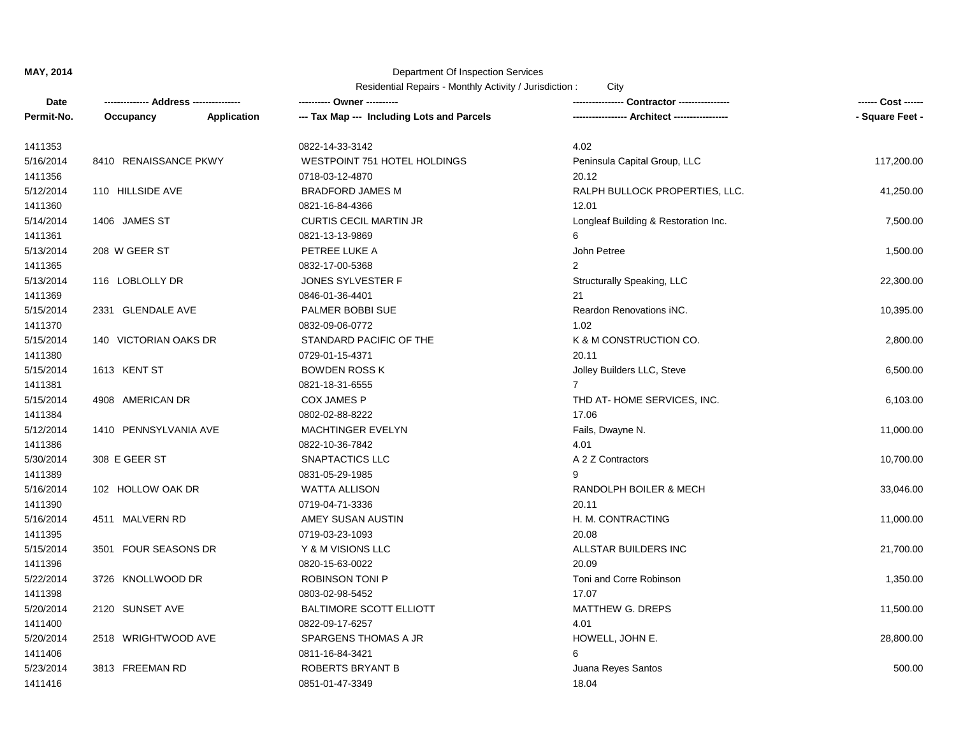| Date       |                       |             | ---------- Owner ----------                |                                              | ------ Cost ------ |
|------------|-----------------------|-------------|--------------------------------------------|----------------------------------------------|--------------------|
| Permit-No. | Occupancy             | Application | --- Tax Map --- Including Lots and Parcels | ---------------- Architect ----------------- | - Square Feet -    |
| 1411353    |                       |             | 0822-14-33-3142                            | 4.02                                         |                    |
| 5/16/2014  | 8410 RENAISSANCE PKWY |             | WESTPOINT 751 HOTEL HOLDINGS               | Peninsula Capital Group, LLC                 | 117,200.00         |
| 1411356    |                       |             | 0718-03-12-4870                            | 20.12                                        |                    |
| 5/12/2014  | 110 HILLSIDE AVE      |             | <b>BRADFORD JAMES M</b>                    | RALPH BULLOCK PROPERTIES, LLC.               | 41,250.00          |
| 1411360    |                       |             | 0821-16-84-4366                            | 12.01                                        |                    |
| 5/14/2014  | 1406 JAMES ST         |             | <b>CURTIS CECIL MARTIN JR</b>              | Longleaf Building & Restoration Inc.         | 7,500.00           |
| 1411361    |                       |             | 0821-13-13-9869                            | 6                                            |                    |
| 5/13/2014  | 208 W GEER ST         |             | PETREE LUKE A                              | John Petree                                  | 1,500.00           |
| 1411365    |                       |             | 0832-17-00-5368                            | $\overline{2}$                               |                    |
| 5/13/2014  | 116 LOBLOLLY DR       |             | JONES SYLVESTER F                          | Structurally Speaking, LLC                   | 22,300.00          |
| 1411369    |                       |             | 0846-01-36-4401                            | 21                                           |                    |
| 5/15/2014  | 2331 GLENDALE AVE     |             | PALMER BOBBI SUE                           | Reardon Renovations iNC.                     | 10,395.00          |
| 1411370    |                       |             | 0832-09-06-0772                            | 1.02                                         |                    |
| 5/15/2014  | 140 VICTORIAN OAKS DR |             | STANDARD PACIFIC OF THE                    | K & M CONSTRUCTION CO.                       | 2,800.00           |
| 1411380    |                       |             | 0729-01-15-4371                            | 20.11                                        |                    |
| 5/15/2014  | 1613 KENT ST          |             | <b>BOWDEN ROSS K</b>                       | Jolley Builders LLC, Steve                   | 6,500.00           |
| 1411381    |                       |             | 0821-18-31-6555                            | $\overline{7}$                               |                    |
| 5/15/2014  | 4908 AMERICAN DR      |             | COX JAMES P                                | THD AT-HOME SERVICES, INC.                   | 6,103.00           |
| 1411384    |                       |             | 0802-02-88-8222                            | 17.06                                        |                    |
| 5/12/2014  | 1410 PENNSYLVANIA AVE |             | <b>MACHTINGER EVELYN</b>                   | Fails, Dwayne N.                             | 11,000.00          |
| 1411386    |                       |             | 0822-10-36-7842                            | 4.01                                         |                    |
| 5/30/2014  | 308 E GEER ST         |             | SNAPTACTICS LLC                            | A 2 Z Contractors                            | 10,700.00          |
| 1411389    |                       |             | 0831-05-29-1985                            | 9                                            |                    |
| 5/16/2014  | 102 HOLLOW OAK DR     |             | WATTA ALLISON                              | RANDOLPH BOILER & MECH                       | 33,046.00          |
| 1411390    |                       |             | 0719-04-71-3336                            | 20.11                                        |                    |
| 5/16/2014  | 4511 MALVERN RD       |             | AMEY SUSAN AUSTIN                          | H. M. CONTRACTING                            | 11,000.00          |
| 1411395    |                       |             | 0719-03-23-1093                            | 20.08                                        |                    |
| 5/15/2014  | 3501 FOUR SEASONS DR  |             | Y & M VISIONS LLC                          | ALLSTAR BUILDERS INC                         | 21,700.00          |
| 1411396    |                       |             | 0820-15-63-0022                            | 20.09                                        |                    |
| 5/22/2014  | 3726 KNOLLWOOD DR     |             | ROBINSON TONI P                            | Toni and Corre Robinson                      | 1,350.00           |
| 1411398    |                       |             | 0803-02-98-5452                            | 17.07                                        |                    |
| 5/20/2014  | 2120 SUNSET AVE       |             | <b>BALTIMORE SCOTT ELLIOTT</b>             | MATTHEW G. DREPS                             | 11,500.00          |
| 1411400    |                       |             | 0822-09-17-6257                            | 4.01                                         |                    |
| 5/20/2014  | 2518 WRIGHTWOOD AVE   |             | SPARGENS THOMAS A JR                       | HOWELL, JOHN E.                              | 28,800.00          |
| 1411406    |                       |             | 0811-16-84-3421                            | 6                                            |                    |
| 5/23/2014  | 3813 FREEMAN RD       |             | <b>ROBERTS BRYANT B</b>                    | Juana Reyes Santos                           | 500.00             |
| 1411416    |                       |             | 0851-01-47-3349                            | 18.04                                        |                    |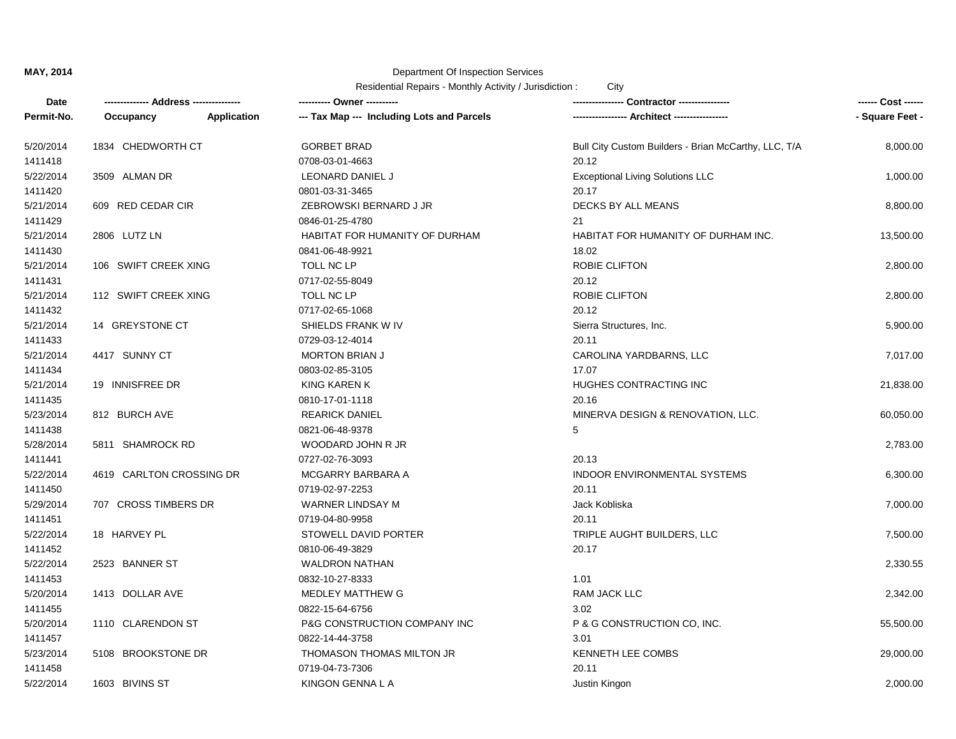| Date       | -------------- Address --------------- |             | ---------- Owner ----------                |                                                      | ------ Cost ------ |
|------------|----------------------------------------|-------------|--------------------------------------------|------------------------------------------------------|--------------------|
| Permit-No. | Occupancy                              | Application | --- Tax Map --- Including Lots and Parcels | ---------------- Architect ----------------          | - Square Feet -    |
| 5/20/2014  | 1834 CHEDWORTH CT                      |             | <b>GORBET BRAD</b>                         | Bull City Custom Builders - Brian McCarthy, LLC, T/A | 8,000.00           |
| 1411418    |                                        |             | 0708-03-01-4663                            | 20.12                                                |                    |
| 5/22/2014  | 3509 ALMAN DR                          |             | LEONARD DANIEL J                           | <b>Exceptional Living Solutions LLC</b>              | 1,000.00           |
| 1411420    |                                        |             | 0801-03-31-3465                            | 20.17                                                |                    |
| 5/21/2014  | 609 RED CEDAR CIR                      |             | ZEBROWSKI BERNARD J JR                     | DECKS BY ALL MEANS                                   | 8,800.00           |
| 1411429    |                                        |             | 0846-01-25-4780                            | 21                                                   |                    |
| 5/21/2014  | 2806 LUTZ LN                           |             | HABITAT FOR HUMANITY OF DURHAM             | HABITAT FOR HUMANITY OF DURHAM INC.                  | 13,500.00          |
| 1411430    |                                        |             | 0841-06-48-9921                            | 18.02                                                |                    |
| 5/21/2014  | 106 SWIFT CREEK XING                   |             | TOLL NC LP                                 | ROBIE CLIFTON                                        | 2,800.00           |
| 1411431    |                                        |             | 0717-02-55-8049                            | 20.12                                                |                    |
| 5/21/2014  | 112 SWIFT CREEK XING                   |             | TOLL NC LP                                 | ROBIE CLIFTON                                        | 2,800.00           |
| 1411432    |                                        |             | 0717-02-65-1068                            | 20.12                                                |                    |
| 5/21/2014  | 14 GREYSTONE CT                        |             | SHIELDS FRANK W IV                         | Sierra Structures, Inc.                              | 5,900.00           |
| 1411433    |                                        |             | 0729-03-12-4014                            | 20.11                                                |                    |
| 5/21/2014  | 4417 SUNNY CT                          |             | <b>MORTON BRIAN J</b>                      | CAROLINA YARDBARNS, LLC                              | 7,017.00           |
| 1411434    |                                        |             | 0803-02-85-3105                            | 17.07                                                |                    |
| 5/21/2014  | 19 INNISFREE DR                        |             | <b>KING KAREN K</b>                        | HUGHES CONTRACTING INC                               | 21,838.00          |
| 1411435    |                                        |             | 0810-17-01-1118                            | 20.16                                                |                    |
| 5/23/2014  | 812 BURCH AVE                          |             | <b>REARICK DANIEL</b>                      | MINERVA DESIGN & RENOVATION, LLC.                    | 60,050.00          |
| 1411438    |                                        |             | 0821-06-48-9378                            | 5                                                    |                    |
| 5/28/2014  | 5811 SHAMROCK RD                       |             | WOODARD JOHN R JR                          |                                                      | 2,783.00           |
| 1411441    |                                        |             | 0727-02-76-3093                            | 20.13                                                |                    |
| 5/22/2014  | 4619 CARLTON CROSSING DR               |             | MCGARRY BARBARA A                          | <b>INDOOR ENVIRONMENTAL SYSTEMS</b>                  | 6,300.00           |
| 1411450    |                                        |             | 0719-02-97-2253                            | 20.11                                                |                    |
| 5/29/2014  | 707 CROSS TIMBERS DR                   |             | <b>WARNER LINDSAY M</b>                    | Jack Kobliska                                        | 7,000.00           |
| 1411451    |                                        |             | 0719-04-80-9958                            | 20.11                                                |                    |
| 5/22/2014  | 18 HARVEY PL                           |             | STOWELL DAVID PORTER                       | TRIPLE AUGHT BUILDERS, LLC                           | 7,500.00           |
| 1411452    |                                        |             | 0810-06-49-3829                            | 20.17                                                |                    |
| 5/22/2014  | 2523 BANNER ST                         |             | <b>WALDRON NATHAN</b>                      |                                                      | 2,330.55           |
| 1411453    |                                        |             | 0832-10-27-8333                            | 1.01                                                 |                    |
| 5/20/2014  | 1413 DOLLAR AVE                        |             | MEDLEY MATTHEW G                           | <b>RAM JACK LLC</b>                                  | 2,342.00           |
| 1411455    |                                        |             | 0822-15-64-6756                            | 3.02                                                 |                    |
| 5/20/2014  | 1110 CLARENDON ST                      |             | P&G CONSTRUCTION COMPANY INC               | P & G CONSTRUCTION CO, INC.                          | 55,500.00          |
| 1411457    |                                        |             | 0822-14-44-3758                            | 3.01                                                 |                    |
| 5/23/2014  | 5108 BROOKSTONE DR                     |             | THOMASON THOMAS MILTON JR                  | KENNETH LEE COMBS                                    | 29,000.00          |
| 1411458    |                                        |             | 0719-04-73-7306                            | 20.11                                                |                    |
| 5/22/2014  | 1603 BIVINS ST                         |             | KINGON GENNA L A                           | Justin Kingon                                        | 2,000.00           |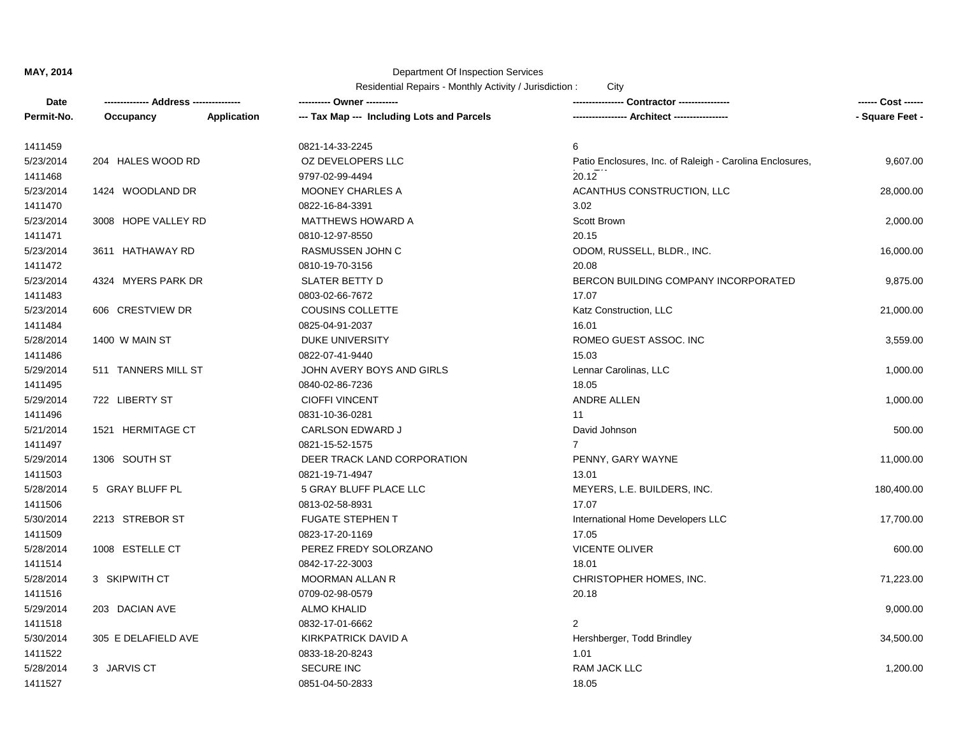| Date       |                     |                    | ---------- Owner ----------                |                                                          | ------ Cost ------ |
|------------|---------------------|--------------------|--------------------------------------------|----------------------------------------------------------|--------------------|
| Permit-No. | Occupancy           | <b>Application</b> | --- Tax Map --- Including Lots and Parcels | -- Architect ----------------                            | - Square Feet -    |
| 1411459    |                     |                    | 0821-14-33-2245                            | 6                                                        |                    |
| 5/23/2014  | 204 HALES WOOD RD   |                    | OZ DEVELOPERS LLC                          | Patio Enclosures, Inc. of Raleigh - Carolina Enclosures, | 9,607.00           |
| 1411468    |                     |                    | 9797-02-99-4494                            | 20.12                                                    |                    |
| 5/23/2014  | 1424 WOODLAND DR    |                    | <b>MOONEY CHARLES A</b>                    | ACANTHUS CONSTRUCTION, LLC                               | 28,000.00          |
| 1411470    |                     |                    | 0822-16-84-3391                            | 3.02                                                     |                    |
| 5/23/2014  | 3008 HOPE VALLEY RD |                    | <b>MATTHEWS HOWARD A</b>                   | Scott Brown                                              | 2,000.00           |
| 1411471    |                     |                    | 0810-12-97-8550                            | 20.15                                                    |                    |
| 5/23/2014  | 3611 HATHAWAY RD    |                    | RASMUSSEN JOHN C                           | ODOM, RUSSELL, BLDR., INC.                               | 16,000.00          |
| 1411472    |                     |                    | 0810-19-70-3156                            | 20.08                                                    |                    |
| 5/23/2014  | 4324 MYERS PARK DR  |                    | <b>SLATER BETTY D</b>                      | BERCON BUILDING COMPANY INCORPORATED                     | 9,875.00           |
| 1411483    |                     |                    | 0803-02-66-7672                            | 17.07                                                    |                    |
| 5/23/2014  | 606 CRESTVIEW DR    |                    | <b>COUSINS COLLETTE</b>                    | Katz Construction, LLC                                   | 21,000.00          |
| 1411484    |                     |                    | 0825-04-91-2037                            | 16.01                                                    |                    |
| 5/28/2014  | 1400 W MAIN ST      |                    | <b>DUKE UNIVERSITY</b>                     | ROMEO GUEST ASSOC. INC                                   | 3,559.00           |
| 1411486    |                     |                    | 0822-07-41-9440                            | 15.03                                                    |                    |
| 5/29/2014  | 511 TANNERS MILL ST |                    | JOHN AVERY BOYS AND GIRLS                  | Lennar Carolinas, LLC                                    | 1,000.00           |
| 1411495    |                     |                    | 0840-02-86-7236                            | 18.05                                                    |                    |
| 5/29/2014  | 722 LIBERTY ST      |                    | <b>CIOFFI VINCENT</b>                      | ANDRE ALLEN                                              | 1,000.00           |
| 1411496    |                     |                    | 0831-10-36-0281                            | 11                                                       |                    |
| 5/21/2014  | 1521 HERMITAGE CT   |                    | <b>CARLSON EDWARD J</b>                    | David Johnson                                            | 500.00             |
| 1411497    |                     |                    | 0821-15-52-1575                            | $\overline{7}$                                           |                    |
| 5/29/2014  | 1306 SOUTH ST       |                    | DEER TRACK LAND CORPORATION                | PENNY, GARY WAYNE                                        | 11,000.00          |
| 1411503    |                     |                    | 0821-19-71-4947                            | 13.01                                                    |                    |
| 5/28/2014  | 5 GRAY BLUFF PL     |                    | 5 GRAY BLUFF PLACE LLC                     | MEYERS, L.E. BUILDERS, INC.                              | 180,400.00         |
| 1411506    |                     |                    | 0813-02-58-8931                            | 17.07                                                    |                    |
| 5/30/2014  | 2213 STREBOR ST     |                    | <b>FUGATE STEPHEN T</b>                    | International Home Developers LLC                        | 17,700.00          |
| 1411509    |                     |                    | 0823-17-20-1169                            | 17.05                                                    |                    |
| 5/28/2014  | 1008 ESTELLE CT     |                    | PEREZ FREDY SOLORZANO                      | VICENTE OLIVER                                           | 600.00             |
| 1411514    |                     |                    | 0842-17-22-3003                            | 18.01                                                    |                    |
| 5/28/2014  | 3 SKIPWITH CT       |                    | MOORMAN ALLAN R                            | CHRISTOPHER HOMES, INC.                                  | 71,223.00          |
| 1411516    |                     |                    | 0709-02-98-0579                            | 20.18                                                    |                    |
| 5/29/2014  | 203 DACIAN AVE      |                    | <b>ALMO KHALID</b>                         |                                                          | 9,000.00           |
| 1411518    |                     |                    | 0832-17-01-6662                            | $\overline{2}$                                           |                    |
| 5/30/2014  | 305 E DELAFIELD AVE |                    | <b>KIRKPATRICK DAVID A</b>                 | Hershberger, Todd Brindley                               | 34,500.00          |
| 1411522    |                     |                    | 0833-18-20-8243                            | 1.01                                                     |                    |
| 5/28/2014  | 3 JARVIS CT         |                    | <b>SECURE INC</b>                          | <b>RAM JACK LLC</b>                                      | 1,200.00           |
| 1411527    |                     |                    | 0851-04-50-2833                            | 18.05                                                    |                    |